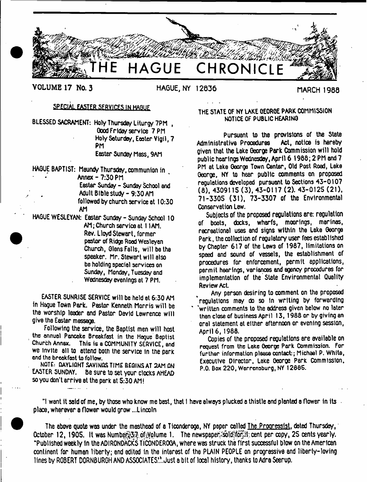

# **SPECIAL EASTER SERVICES IN HAGUE**

BLESSED SACRAMENT: Holy Thursday Liturgy 7PM , Good Friday service 7 PM Holy Saturday, Easter Vigil, 7 PM Easier Sunday Mass, 9AM

HAGUE BAPTIST: Maundy Thursday, communion in Annex - 7:30 PM Easier Sunday - Sunday School and Adult Bible study-9:30 AM followed by church service at 10:30 AM

HAGUE WESLEYAN: Easter Sunday - Sunday School 10 AM; Church service at 11AM. Rev. Lloyd Stewart, former pastor of Ridge Rood Wesleyan Church, Glens Falls, will be the speaker. Mr. Stewart will also be holding special services on Sunday, Monday, Tuesday and Wednesday evenings at 7 PM.

EASTER SUNRISE SERVICE will be held at 6:30 AM in Hague Town Park. Pastor Kenneth Morris will be the worship leader end Pastor David Lawrence will give the Easter message.

Following the service, the Baptist men will host the annual Pancake Breakfast in the Hogue Baptist Church Annex. This is a COMMUNITY SERVICE, and we invite all to attend both the service in the park and the breakfast to follow.

NOTE: DAYLIGHT SAVINGS TIME BEGINS AT 2AM ON EASTER SUNDAY. Be sure to set your clocks AHEAD so you don't arrive at the park at 5:30 AM!

# THE STATE OF NY LAKE GEORGE PARK COMMISSION NOTICE OF PUBLIC HEARING

Pursuant to the provisions of the State<br>etive Procedures Act, notice is hereby Administrative Procedures given that the Lake George Park Commission will hold public hearings Wednesday, April 6 1965; 2 PM and 7 PM at Lake George Town Canter, Old Post Road, Lake George, NY to hear public comments on proposed regulations developed pursuant to Sections 43-0107 (6), 4309115 (3), 43-0! 17 (2). 43-0125 (21), 71-3305 (31), 73-3307 of the Environmental Conservation Law.

Subjects of the proposed regulations are: regulation of boats, docks, wharfs, moorings, marinas, recreational uses and signs within the Lake George Park, the collection of regulatory user fees established by Chapter 617 of the Lews of 1987, limitations on speed and sound of vessels, the establishment of procedures for enforcement, permit applications, permit hearings, variances end agency procedures for implementation of the State Environmental Quality Review Act.

Any person desiring to comment on the proposed 'regulations may do so in writing by forwarding written comments to the address given below no later then close of business April 13, 1988 or by giving an oral statement at either afternoon or evening session, April 6, 1988.

Copies of the proposed regulations are available on request from the Lake George Pork Commission. For further information please contact:; Michael P. White, Executive Director, Lake George Perk Commission, P.O. Box 220, Worrensburg, NY 1288S.

"I want it said of me, by those who know me best, that I have always plucked a thistle and planted a flower in its place, wherever a flower would grow ...Lincoln

**The above quote was under the masthead of a Ticonderoge, NY paper called The Progressist, dated Thursday, October 12, 1905. It was Number 37 of Volume 1. The newspaper sold'for the copy, 25 cents yearly. "Published weekly in the ADIRONDACKS TICONDEROGA, where was struck the first successful blow on the American continent for human liberty; end edited in the interest of the PLAIN PEOPLE on progressiva and liberly-loving lines by ROBERT DORNBURGH AND ASSOCIATES.^.Just a bit of local history, thanks to Adra Seerup.**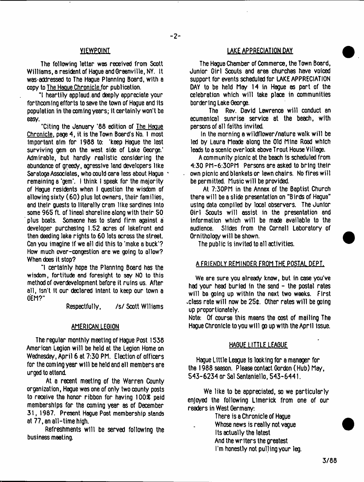The following letter was received from Scott Williams, a resident of Hague and Greenville, NY. It was-addressed to The Hague Planning Board, with a copy to The Hague Chronicle for publication.

"I heartily applaud.and deeply appreciate your forthcoming efforts to save the town of Hague and its population in the coming years; it certainly won't be easy.

"Citing the January '88 edition of The Hague Chronicle, page 4, it is the Town Board's No. 1 most important aim for 1988 to: 'keep Hague the last surviving gem on the west side of Lake George.' Admirable, but hardly realistic considering the abundance of greedy, agresslve land developers like Saratoga Associates, who could care less about Hague remaining a 'gem'. I think I speak for the majority of Hague residents when I question the wisdom of allowing sixty (60) plus lot owners, their families, and their guests to literally cram like sardines Into some 965 ft. of lineal shoreline along with their 50 plus boats. Someone has to stand firm against a developer purchasing 1.52 acres of lakefront and then deeding lake rights to 60 lots across the street. Can you imagine if we all did this to 'make a buck'? How much over-congestion are we going to allow? When does it stop?

"I certainly hope the Planning Board has the wisdom, fortitude and foresight to soy NO to this method of overdevelopment before it ruins us. After all, isn't it our declared Intent to keep our town a GEM?"

Respectfully, /s/ Scott Wiliams

# AMERICAN LEGION

The regular monthly meeting of Hague Post 1538 American Legion will be held at the Legion Home on Wednesday, April 6 at 7:30 PM. Election of officers for the coming year will be held and all members are urged to attend.

At a recent meeting of the Warren County organization, Hague was one of only two county posts to receive the honor ribbon for having 100£ paid memberships for the coming year as of December 31, 1987. Present Hogue Post membership stands at 77, an all-time high.

Refreshments will be served following the business meeting.

# YIEWPOINT THE MODEL TO THE MODEL OF THE MODEL OF THE MODEL OF THE MODEL OF THE MODEL OF THE MODEL OF THE MODEL

The Hague Chamber of Commerce, the Town Board, Junior Girl Scouts and area churches have voiced support for events scheduled for LAKE APPRECIATION DAY to be held May 14 in Hague as part of the celebration which will take place in communities bordering Lake George.

The Rev. David Lawrence will conduct an ecumenical sunrise service at the beach, with persons of all faiths invited.

In the morning a wildflower/nature walk will be led by Laura Meade along the Old Mine Road which leads to a scenic overlook above Trout House Village.

A community picnic at the beach is scheduled from 4:30 PM-6:30PM Persons are asked to bring their own picnic snd blankets or lawn chairs. No fires will be permitted. Music will be provided.

At 7:30PM in the Annex of the Baptist Church there will be a slide presentation on "Birds of Hague" using data compiled by local observers. The Junior Girl Scouts will assist in the presentation and information which will be made available to the audience. Slides from the Cornell Laboratory of Ornithology will be shown.

The public is invited to all activities.

#### A FRIENDLY REMINDER FROM THE POSTAL DEPT.

We are sure you already know, but in case you've had your head burled in the sand - the postal rates will be going up within the next two weeks. First .class rate will now be 25\$. Other rates will be going up proportionately.

Note: Of course this means the cost of mailing The Hague Chronicle to you will go up with the April issue.

#### HAGUE LITTLE LEAGUE

Hague Little League Is looking for a manager for the 1988 season. Please contact Gordon (Hub) May, 543-6234 or Sal Santeniello, 543-6441.

We like to be appreciated, so we particularly enjoyed the following Limerick from one of our readers in West Germany:

> There is a Chronicle of Hague Whose news is really not vague its actually the latest And the writers the greatest I'm honestly not pulling your leg.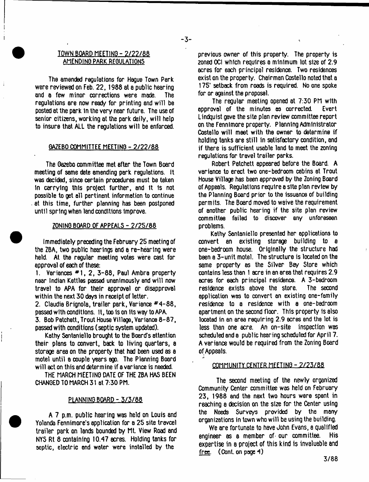# IQWhLBQARD MEETING - 2/22/88 AMENDING PARK REGULATIONS

The amended regulations for Hague Town Park were reviewed on Feb. 22,1988 at a public hearing and a few minor corrections were made. The regulations are now ready for printing and will be posted at the park tn the very near future. The use of senior citizens, working at the park daily, will help to insure that ALL the regulations will be enforced.

### GAZEBO COMMITTEE MEETING - 2/22/88

The Gazebo committee met after the Town Board meeting of same date amending park regulations, it was decided, since certain procedures must be taken In carrying this project further, and It 1s not possible to get all pertinent information to continue at this time, further planning has been postponed until spring when land conditions Improve.

#### ZONING BOARD OF APPEALS - 2/25/88

Immediately preceding the February 25 meeting of the ZBA, two public hearings and a re-hearing were held. At the regular meeting votes were cast for approval of each of these:

1. Variances \*1 , 2, 3-88, Paul Ambra property near Indian Kettles passed unanimously and will now travel to APA for their approval or disapproval within the next 30 days in receipt of letter.

2. Claudia Brignola, trailer park, Variance \*4-88, passed with conditions. It, too is on Its way to APA. 3. Bob Petchett, Trout House Village, Variance 8-87, passed with conditions (septic system updated).

Kathy Santaniello brought to the Board's attention their plans to convert, back to living quarters, a storage area on the property that had been used as a motel until a couple years ago. The Planning Board will act on this and determine if a variance is needed.

THE MARCH MEETING DATE OF THE ZBA HAS BEEN CHANGED TO MARCH 31 at 7:30 PM.

#### PLANNING BOARD - 3/3/88

A 7 p.m. public hearing was held on Louis and Yolanda Fennimore's application for a 25 site travcel trailer park on lands bounded by Mt. View Road and NYS Rt 8 containing 10.47 acres. Holding tanks for septic, electric and water were installed by the

previous owner of this property. The property is zoned OCI which requires a minimum lot size of 2.9 acres for each principal residence. Two residences exist on the property. Chairman Costello noted that a 175' setback from roads is required. No one spoke for or against the proposal.

The regular meeting opened at 7:30 PM with<br>wall of the minutes as corrected. Evert approval of the minutes as corrected. Lindquist gave the site plan review committee report on the Fennlmore property. Planning Administrator Costello will meet with the owner to determine if holding tanks are still in satisfactory condition, and if there is sufficient usable land to meet the zoning regulations for travel trailer parks.

Robert Patchett appeared before the Board. A variance to erect two one-bedroom cabins at Trout House Village has been approved by the Zoning Board of Appeals. Regulations require a site plan review by the Planning Board prior to the issuance of building permits. The Board moved to waive the requirement of another public hearing if the site plan review committee failed to discover any unforeseen problems.

Kathy Santaniello presented her applications to convert an existing storage building to a one-bedroom house. Originally the structure had been a 3-unit motel. The structure is located on the same property as the Silver Bay Store which contains less than I acre in an area that requires 2.9 acres for each principal residence. A 3-bedroom<br>residence exists above the store, The second residence exists above the store. application was to convert an existing one-family residence to a residence with a one-bedroom apartment on the second floor. This property is also located in an area requiring 2.9 acres and the lot is less than one acre. An on-site inspection was scheduled and a public hearing scheduled for April 7. A variance would be required from the Zoning Board of Appeals.

#### COMMUNITY CENTER MEETING - 2/25/88

The second meeting of the newly organized Community Center committee was held on February 23, 1988 and the next two hours were spent in reaching a decision on the size for the Center using the Needs Surveys provided by the many organizations in town who will be using the building.

We are fortunate to have John Evans, a qualified engineer as a member of- our committee. His expertise in a project of this kind is invaluable and free. (Cont. on page 4)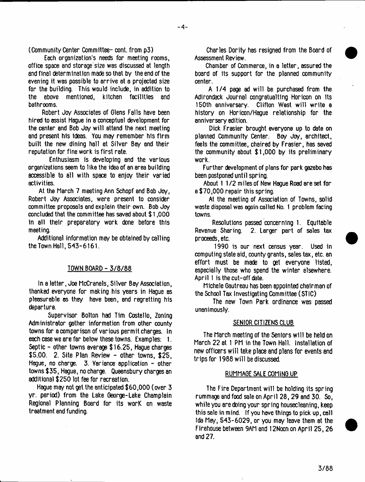(Community Center Committee- cont. from p3)

Each organization's needs for meeting rooms, office space and storage size was discussed at length and final determination made so that by the end of the evening it was possible to arrive at a projected size for the building. This would include, in addition to the above mentioned, kitchen facilities and bathrooms.

Robert Joy Associates of Clens Falls have been hired to assist Hague in a conceptual development for the center and Bob Joy will attend the next meeting and present his ideas. You may remember his firm built the new dining hall at Silver Bay and their reputation for fine work is first rate.

Enthusiasm is developing and the various organizations seem to like the idea of an area building accessible to all with space to enjoy their varied activities.

At the March 7 meeting Ann Schopf and Bob Joy, Robert Joy Associates, were present to consider committee proposals and explain their own. Bob Joy concluded that the committee has saved about \$ 1,000 In all their preparatory work done before this meeting.

Additional information may be obtained by calling the Town Hall, 543-6161.

# TOWN BOARD - 3/8/88

In a letter, Joe McCranels, Silver Bay Association, thanked everyone for making his years in Hague as pleasurable as they have been, and regretting his departure.

Supervisor Bolton had Tim Costello, Zoning Administrator gather information from other county towns for a comparison of various permit charges. In each case we are far below these towns. Examples: 1. Septic - other towns average \$ 16.25, Hague charges S5.00. 2. Site Plan Review - other towns, \$25, Hague, no charge. 3. Variance application - other towns \$ 35, Hague, no charge. Queensbury charges an additional \$250 lot fee for recreation.

Hague may not get the anticipated \$60,000 (over 3 yr. period) from the Lake George-Lake Champlain Regional Planning Board for its worK on waste treatment and funding.

Charles Dority has resigned from the Board of Assessment Review.

Chamber of Commerce, in a letter, assured the board of Its support for the planned community center.

A 1/4 page ad will be purchased from the Adirondack Journal congratualting Horicon on Its 150th anniversary. Clifton West will write e history on Horicon/Hague relationship for the anniversary edition.

Dick Frasier brought everyone up to date on planned Community Center. Boy Joy, architect, feels the committee, chaired by Frasier, has saved the community about \$1,000 by its preliminary work.

Further development of plans for park gazebo has been postponed until spring.

About 1 1 /2 miles of New Hague Road are set for a \$70,000 repair this spring.

At the meeting of Association of Towns, solid waste disposal was again called No. 1 problem facing towns.

Resolutions passed concerning 1. Equitable Revenue Sharing. 2. Larger part of sales tax proceeds, etc.

1990 is our next census year. Used in computing state aid, county grants, sales tax, etc. an effort must be made to get everyone listed, especially those who spend the winter elsewhere. April 1 is the cut-off date.

Michele Gautreau has been appointed chairman of the School Tax Investigating Committee (STIC)

The new Town Park ordinance was passed unanimously.

# SENIOR CITIZENS CLUB

The March meeting of the Seniors will be held on March 22 at 1 PM in the Town Hall. Installation of new officers will take place and plans for events and trips for 1988 will be discussed.

#### RUMMAGE SALE COMING UP

The Fire Department will be holding its spring rummage and food sale on April 28, 29 and 30. So, while you are doing your spring housecleaning, keep this sale in mind. If you have things to pick up, call Ida May, 543-6029, or you may leave them at the Firehouse between 9AM and 12Noon on April 25,26 and 27.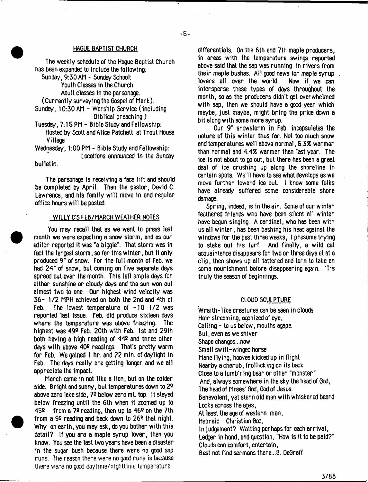#### HAGUE BAPTIST CHURCH

The weekly schedule of the Hague Baptist Church has been expanded to Include the following: Sunday, 9:30 AM - Sunday School: Youth Classes in the Church Adult classes In the parsonage. (Currently surveying the Gospel of Mark). Sunday, 10:30 AM - Worship Service (including Biblical preaching.) Tuesday, 7: IS PM - Bible Study and Fellowship:

Hosted by Scott and Alice Patchett at Trout House Village

Wednesday, 1:00 PM - Bible Study and Fellowship: Locations announced 1n the Sunday bulletin.

The parsonage is receiving a face lift and should be completed by April. Then the pastor, David C. Lawrence, and his family will move in and regular office hours will be posted.

#### WILLY C'S FEB/MARCH WEATHER NOTES

You may recall that as we went to press last month we were expecting a snow storm, and as our editor reported it was "a biggie". That storm was in fact the largest storm, so far this winter, but it only produced 9" of snow. For the full month of Feb. we had 24" of snow, but coming on five separate days spread out over the month. This left ample days for either sunshine or cloudy days and the sun won out almost two to one. Our highest wind velocity was 36- 1/2 MPH achieved on both the 2nd and 4th of Feb. The lowest temperature of  $-10$  1/2 was reported last Issue. Feb. did produce sixteen days where the temperature was above freezing. The highest was 492 Feb. 20th with Feb. 1st and 29th both having a high reading of 44® and three other days with above 40<sup>o</sup> readings. That's pretty warm for Feb. We gained 1 hr. and 22 min. of daylight in Feb. The days really are getting longer and we all appreciate the impact.

March came in not like a lion, but on the colder side. Bright and sunny, but temperatures down to 2® above zero lake side, **72** below **2**ero mt. top. It stayed below freezing until the 6th when it zoomed up to 45® from a 7® reading, then up to 46® on the 7th from a 9® reading and back down to 26® that night. Why on earth, you may ask, do you bother with this detail? If you are a maple syrup lover, then you know. You see the last two years have been a disaster in the sugar bush because there were no good sap runs. The reason there were no good runs is because there were no good daytime/nighttime temperature

differentials. On the 6th and 7th maple producers, in areas with the temperature swings reported above said that the sap was running in rivers from their maple bushes. All good news for maple syrup<br>lovers all over the world. Now if we can lovers all over the world. intersperse these types of days throughout the month, so as the producers didn't get overwhelmed with sap, then we should have a good year which maybe, just maybe, might bring the price down a bit along with some more syrup.

Our 9" snowstorm in Feb. incapsulates the nature of this winter thus far. Not too much snow and temperatures well above normal, 5.3% warmer than normal and 4.4\$ warmer than last year. The ice is not about to go out, but there has been a great deal of ice crushing up along the shoreline in certain spots. We'll have to see what develops as we move further toward ice out. I know some folks have already suffered some considerable shore damage.

Spring, indeed, is in the air. Some of our winter feathered friends who have been silent all winter have begun singing. A cardinal, who has been with us all winter, has been bashing his head against the windows for the past three weeks, I presume trying to stake out his turf. And finally, a wild cat acquaintance disappears for two or three days at at a clip, then shows up all tattered and torn to take on some nourishment before disappearing again. 'Tis truly the season of beginnings.

### CLOUD SCULPTURE

Wraith-like creatures can be seen in clouds Hair streaming, agonized of eye, Calling - to us below, mouths agape. But, even as we shiver Shape changes...now Small swift-winged horse Mane flying, hooves kicked up in flight Nearby a cherub, frollicking on its back Close to a lumb'ring bear or other "monster" And, always somewhere in the sky the head of God, The head of Moses' God, God of Jesus Benevolent, yet stern old man with whiskered beard Looks across the ages, At least the age of western man, Hebraic-Christian God, In judgement? Waiting perhaps for each arrival, Ledger in hand, and question, "How is it to be paid?" Clouds can comfort, entertain, Best not find sermons there...B. DeGraff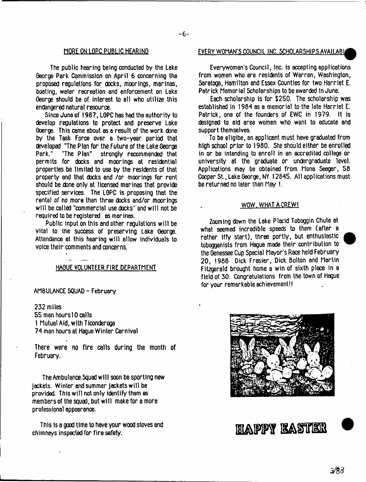The public hearing being conducted by the Lake George Park Commission on April 6 concerning the proposed regulations for docks, moorings, marinas, boating, water recreation end enforcement on Lake George should be of interest to all who utilize this endangered natural resource.

Since June of 1987, LGPC has had the authority to develop regulations to protect and preserve Lake Goerge. This came about as a result of the work done by the Task Force over a two-year period that developed "The Plan for the Future of the Lake George<br>Park." "The Plan" strongly recommended that strongly recommended that permits for docks and moorings at residential properties be limited to use by the residents of that property and that docks and /or moorings for rent should be done only at licensed marinas that provide specified services. The LGPC is proposing that the rental of no more than three docks and/or moorings will be called "commercial use docks" and will not be required to be registered as marinas.

Public input on this and other regulations will be vital to the success of preserving Lake George. Attendance at this hearing will allow individuals to voice their comments and concerns.

#### HAGUE VOLUNTEER FIRE DEPARTMENT

AMBULANCE SQUAD - February

232 miles 55 men hours 10 calls 1 Mutual Aid, with Ticonderoga 74 man hours at Hague Winter Carnival

There were no fire calls during the month of February.

The Ambulance Squad will soon be sporting new jackets. Winter and summer jackets will be provided. This will not only identify them as members of the squad, but will make for a more professional appearance.

This Is a good time to have your wood stoves and chimneys inspected for fire safety.<br>
chimneys inspected for fire safety.

### MOREON LGPC PUBLIC HEARING EVERY WOMAN'S COUNCIL INC. SCHOLARSHIPS AVAILABU

Everywoman's Council, Inc. is accepting applications from women who are residents of Warren, Washington, Saratoga, Hamilton and Essex Counties for two Harriet E. Patrick Memorial Scholarships to be awarded in June.

Each scholarship is for \$250. The scholarship was established in 1984 as a memorial to the late Harriet E: Patrick, one of the founders of EWC in 1979. It is designed to aid area women who want to educate and support themselves.

To be eligibe, an applicant must have graduated from high school prior to 1980. She should either be enrolled in or be intending to enroll in an accredited college or university at the graduate or undergraduate level. Applications may be obtained from Mona Seeger, 58 Cooper St., Lake George, NY 12845. All applications must be returned no later than May 1.

#### WOW. WHAT A CREW!

Zooming down the Lake Placid Toboggin Chute at what seemed incredible speeds to them (after a rather Iffy start), three portly, but enthusiastic tobogganists from Hague made their contribution to the Genessee Cup Special Mayor's Race held February 20, 1988 Dick Frasier, Dick Bolton and Martin Fitzgerald brought home a win of sixth place in a field of 30. Congratulations from the town of Hague for your remarkable achievement!!

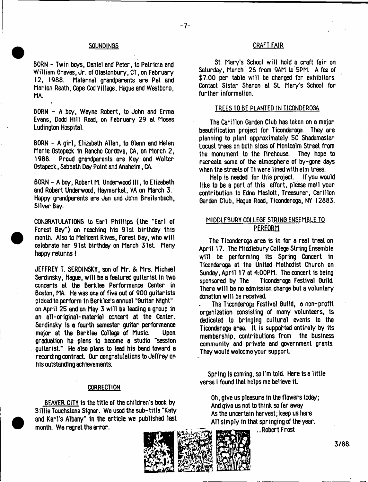BORN - Twin boys, Daniel and Peter, to Patricia and William Oraves, Jr. of Olsstonbury, CT, on February 12, 1988, Maternal grandparents are Pat and Marion Reath, Cape Cod Village. Hague and Westboro, MA.

BORN - A bo/, Wayne Robert, to John and Erma Evans, Dodd Hill Road, on February 29 at Moses Ludington Hospital.

BORN - A girl, Elizabeth Allan, to Glenn and Helen Marie Ostepeck In Rancho Cordova, CA, on March 2, 1988. Proud grandparents ere Key and Walter Ostapeck, Sabbath Day Point and Anaheim, CA.

BORN - A boy, Robert M, Underwood III, to Elizabeth and Robert Underwood, Haymarket, VA on March 3. Happy grandparents are Jan and John Breitenbach, Silver Bay.

CONGRATULATIONS to Earl Phillips (the "Earl of Forest Bay") on reaching his 91st birthday this month. Also to Mellcent Rives, Forest Bay, who will celebrate her 91st birthday on March 31st. Many happy returns!

JEFFREY T. SERDINSKY, son of Mr. & Mrs. Michael Serdinsky, Hague, will be a featured guitarist in two concerts at the Berklee Performance Center in Boston, MA. He was one of five out of 900 guitarists picked to perform In Berklee's annual "Guitar Night" on April 25 and on May 3 will be leading a group in an ell-original-material concert at the Center. Serdinsky is **a** fourth semester guitar performance major at the Berklee College of Music. Upon graduation he plans to become a studio "session guitarist." He also plans to lead his band toward a recording contract. Our congratulations to Jeffrey on his outstanding achievements.

#### **CORRECTION**

BEAVER CITY is the title of the children's book by Billie Touchstone Signer. We used the sub-title "Katy and Karl's Albany" in the article we published last month. We regret the error.

#### SOUNDINGS CRAFT FAIR

St. Mary's School will hold a craft fair on Saturday, March 26 from 9AM to 5PM. A fee of \$7.00 per table will be charged for exhibitors. Contact Sister Sharon at St. Mary's School for further information.

#### TREES TO BE PLANTED IN TICONDEROGA

The Carillon Garden Club has taken on a major beautification project for Ticonderoga. They are planning to plant approximately 50 Shademaster Locust trees on both sides of Montcalm Street from<br>the monument to the firehouse. They hope to the monument to the firehouse. recreate some of the atmosphere of by-gone days when the streets of T1 were lined with elm trees.

Help is needed for this project. If you would like to be a part of this effort, please mail your contribution to Edna Maslott, Treasurer, Carillon Garden Club, Hague Road, Ticonderoga, NY 12883.

# MIDDLEBURY COLLEGE STRING ENSEMBLE TO **PERFORM**

The Ticonderoga area is in for a real treat on April 17. The Middlebury College String Ensemble will be performing its Spring Concert in Ticonderoga at the United Methodist Church on Sunday, April 17 at 4:00PM. The concert is being sponsored by The Ticonderoga Festival Guild. There will be no admission charge but a voluntary donation will be received.

The Ticonderoga Festival Guild, a non-profit organization consisting of many volunteers, is dedicated to bringing cultural events to the Ticonderoga area. It is supported entirely by its membership, contributions from the business community and private and government grants. They would welcome your support.

Spring is coming, so I'm told. Here Is a little verse I found that helps me believe it.

Oh, give us pleasure In the flowers today; And give us not to think so far away As the uncertain harvest; keep us here All simply in that springing of the year.

...Robert Frost

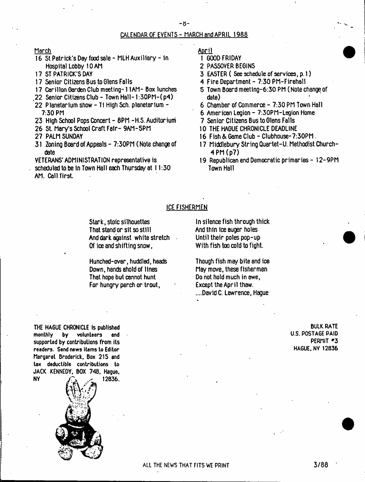### CALENDAR OF EVENTS - MARCH and APRIL 1988

March

- 16 St Patrick's Day food sale MLH Auxiliary in Hospital Lobby 10 AM
- 17 ST PATRICK'S DAY
- 17 Senior Citizens Bus to Glens Falls
- 17 Carillon Garden Club meeting-11AM- Box lunches
- t22 Senior Citizens Club Town Hall-1:30PM-( p4)
- 22 Planetarium show Ti High Sch. planetarium 7:30 PM
- 23 High School Pops Concert 8PM -H.S. Auditorium
- 26 St. Mary's School Craft Fair- 9AM-5PM
- 27 PALM SUNDAY
- 31 Zoning Board of Appeals 7:30PM (Note change of date

VETERANS' ADMINISTRATION representative is scheduled to be in Town Hall each Thursday at 11:30 AM. Call first.

April

- 1 GOOD FRIDAY
- 2 PASSOVER BEGINS
- 3 EASTER ( See schedule of services, p. 1)
- 4 Fire Department 7:30 PM-Firehall
- 5 Town Board meeting-6:30 PM (Note change of date)
- 6 Chamber of Commerce 7:30 PM Town Hall
- 6 American Legion 7:30PM-Legion Home
- 7 Senior Citizens Bus to Glens Falls
- 10 THE HAGUE CHRONICLE DEADLINE
- 16 Fish & Game Club Clubhouse-7:30PM .
- 17 Middlebury String Quartet-U. Methodist Church-4 PM (p7)
- 19 Republican end Democratic primaries I2-9PM Town Hall

#### ICE FISHERMEN

Stark, stoic silhouettes That stand or sit so still And dark against white stretch Of ice and shifting snow,

Hunched-over, huddled, heads Down, hands ahold of lines That hope but cannot hunt For hungry perch or trout,

In silence fish through thick And thin ice auger holes Until their poles pop-up With fish too cold to fight.

Though fish may bite and ice May move, these fishermen Do not hold much in awe, Except the April thaw. ....David C. Lawrence, Hague

THE HAGUE CHRONICLE is published **monthly by volunteers and** supported **by** contributions from its **readers. Send news items to Editor** Margaret Broderick, Box 215 and **tax deductible contributions to** JACK KENNEDY. BOX 748, Hague.  $NY = \bigcap_{i=1}^n$  (12836.



BULK RATE U.S. POSTAGE PAID PERMIT #3 HAGUE, NY 12836